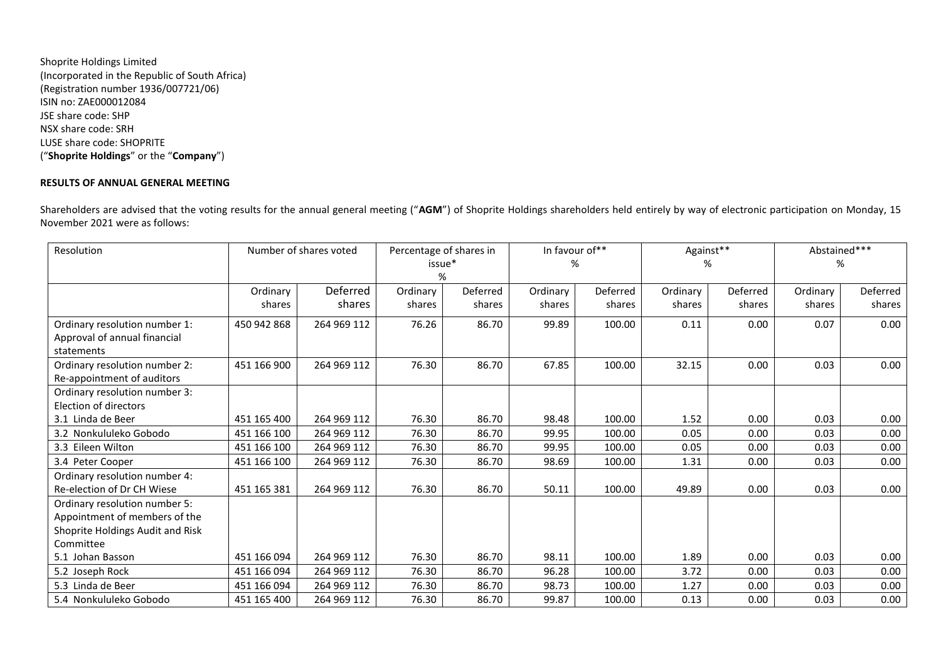Shoprite Holdings Limited (Incorporated in the Republic of South Africa) (Registration number 1936/007721/06) ISIN no: ZAE000012084 JSE share code: SHP NSX share code: SRH LUSE share code: SHOPRITE ("**Shoprite Holdings**" or the "**Company**")

## **RESULTS OF ANNUAL GENERAL MEETING**

Shareholders are advised that the voting results for the annual general meeting ("**AGM**") of Shoprite Holdings shareholders held entirely by way of electronic participation on Monday, 15 November 2021 were as follows:

| Resolution                       | Number of shares voted |             | Percentage of shares in |          | In favour of** |          | Against** |          | Abstained*** |          |
|----------------------------------|------------------------|-------------|-------------------------|----------|----------------|----------|-----------|----------|--------------|----------|
|                                  |                        |             | issue*                  |          | %              |          | %         |          | %            |          |
|                                  |                        |             | %                       |          |                |          |           |          |              |          |
|                                  | Ordinary               | Deferred    | Ordinary                | Deferred | Ordinary       | Deferred | Ordinary  | Deferred | Ordinary     | Deferred |
|                                  | shares                 | shares      | shares                  | shares   | shares         | shares   | shares    | shares   | shares       | shares   |
| Ordinary resolution number 1:    | 450 942 868            | 264 969 112 | 76.26                   | 86.70    | 99.89          | 100.00   | 0.11      | 0.00     | 0.07         | 0.00     |
| Approval of annual financial     |                        |             |                         |          |                |          |           |          |              |          |
| statements                       |                        |             |                         |          |                |          |           |          |              |          |
| Ordinary resolution number 2:    | 451 166 900            | 264 969 112 | 76.30                   | 86.70    | 67.85          | 100.00   | 32.15     | 0.00     | 0.03         | 0.00     |
| Re-appointment of auditors       |                        |             |                         |          |                |          |           |          |              |          |
| Ordinary resolution number 3:    |                        |             |                         |          |                |          |           |          |              |          |
| Election of directors            |                        |             |                         |          |                |          |           |          |              |          |
| 3.1 Linda de Beer                | 451 165 400            | 264 969 112 | 76.30                   | 86.70    | 98.48          | 100.00   | 1.52      | 0.00     | 0.03         | 0.00     |
| 3.2 Nonkululeko Gobodo           | 451 166 100            | 264 969 112 | 76.30                   | 86.70    | 99.95          | 100.00   | 0.05      | 0.00     | 0.03         | 0.00     |
| 3.3 Eileen Wilton                | 451 166 100            | 264 969 112 | 76.30                   | 86.70    | 99.95          | 100.00   | 0.05      | 0.00     | 0.03         | 0.00     |
| 3.4 Peter Cooper                 | 451 166 100            | 264 969 112 | 76.30                   | 86.70    | 98.69          | 100.00   | 1.31      | 0.00     | 0.03         | 0.00     |
| Ordinary resolution number 4:    |                        |             |                         |          |                |          |           |          |              |          |
| Re-election of Dr CH Wiese       | 451 165 381            | 264 969 112 | 76.30                   | 86.70    | 50.11          | 100.00   | 49.89     | 0.00     | 0.03         | 0.00     |
| Ordinary resolution number 5:    |                        |             |                         |          |                |          |           |          |              |          |
| Appointment of members of the    |                        |             |                         |          |                |          |           |          |              |          |
| Shoprite Holdings Audit and Risk |                        |             |                         |          |                |          |           |          |              |          |
| Committee                        |                        |             |                         |          |                |          |           |          |              |          |
| 5.1 Johan Basson                 | 451 166 094            | 264 969 112 | 76.30                   | 86.70    | 98.11          | 100.00   | 1.89      | 0.00     | 0.03         | 0.00     |
| 5.2 Joseph Rock                  | 451 166 094            | 264 969 112 | 76.30                   | 86.70    | 96.28          | 100.00   | 3.72      | 0.00     | 0.03         | 0.00     |
| 5.3 Linda de Beer                | 451 166 094            | 264 969 112 | 76.30                   | 86.70    | 98.73          | 100.00   | 1.27      | 0.00     | 0.03         | 0.00     |
| 5.4 Nonkululeko Gobodo           | 451 165 400            | 264 969 112 | 76.30                   | 86.70    | 99.87          | 100.00   | 0.13      | 0.00     | 0.03         | 0.00     |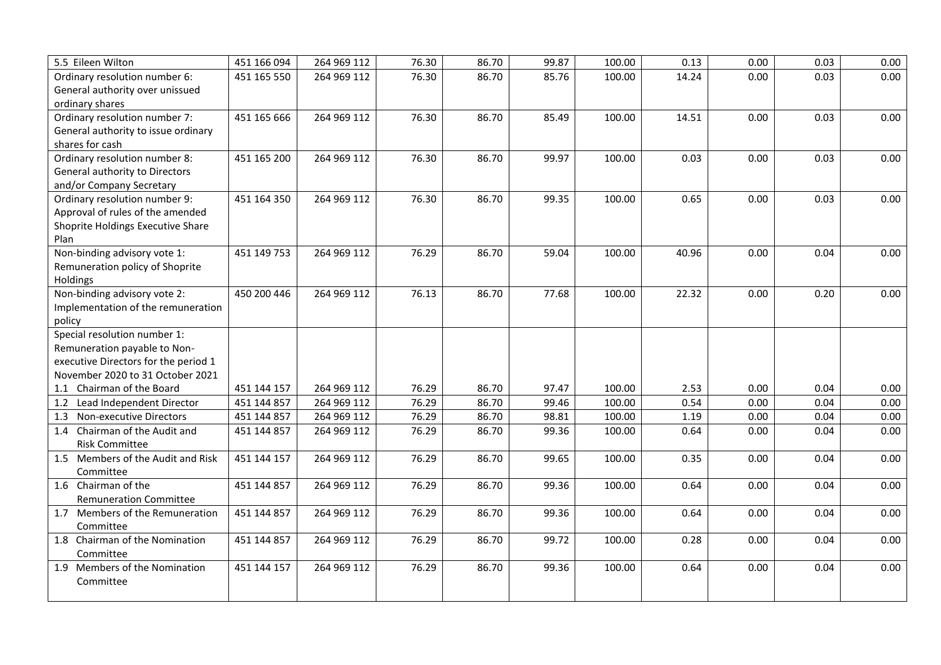| 5.5 Eileen Wilton                    | 451 166 094 | 264 969 112 | 76.30 | 86.70 | 99.87 | 100.00 | 0.13  | 0.00 | 0.03 | 0.00 |
|--------------------------------------|-------------|-------------|-------|-------|-------|--------|-------|------|------|------|
| Ordinary resolution number 6:        | 451 165 550 | 264 969 112 | 76.30 | 86.70 | 85.76 | 100.00 | 14.24 | 0.00 | 0.03 | 0.00 |
| General authority over unissued      |             |             |       |       |       |        |       |      |      |      |
| ordinary shares                      |             |             |       |       |       |        |       |      |      |      |
| Ordinary resolution number 7:        | 451 165 666 | 264 969 112 | 76.30 | 86.70 | 85.49 | 100.00 | 14.51 | 0.00 | 0.03 | 0.00 |
| General authority to issue ordinary  |             |             |       |       |       |        |       |      |      |      |
| shares for cash                      |             |             |       |       |       |        |       |      |      |      |
| Ordinary resolution number 8:        | 451 165 200 | 264 969 112 | 76.30 | 86.70 | 99.97 | 100.00 | 0.03  | 0.00 | 0.03 | 0.00 |
| General authority to Directors       |             |             |       |       |       |        |       |      |      |      |
| and/or Company Secretary             |             |             |       |       |       |        |       |      |      |      |
| Ordinary resolution number 9:        | 451 164 350 | 264 969 112 | 76.30 | 86.70 | 99.35 | 100.00 | 0.65  | 0.00 | 0.03 | 0.00 |
| Approval of rules of the amended     |             |             |       |       |       |        |       |      |      |      |
| Shoprite Holdings Executive Share    |             |             |       |       |       |        |       |      |      |      |
| Plan                                 |             |             |       |       |       |        |       |      |      |      |
| Non-binding advisory vote 1:         | 451 149 753 | 264 969 112 | 76.29 | 86.70 | 59.04 | 100.00 | 40.96 | 0.00 | 0.04 | 0.00 |
| Remuneration policy of Shoprite      |             |             |       |       |       |        |       |      |      |      |
| Holdings                             |             |             |       |       |       |        |       |      |      |      |
| Non-binding advisory vote 2:         | 450 200 446 | 264 969 112 | 76.13 | 86.70 | 77.68 | 100.00 | 22.32 | 0.00 | 0.20 | 0.00 |
| Implementation of the remuneration   |             |             |       |       |       |        |       |      |      |      |
| policy                               |             |             |       |       |       |        |       |      |      |      |
| Special resolution number 1:         |             |             |       |       |       |        |       |      |      |      |
| Remuneration payable to Non-         |             |             |       |       |       |        |       |      |      |      |
| executive Directors for the period 1 |             |             |       |       |       |        |       |      |      |      |
| November 2020 to 31 October 2021     |             |             |       |       |       |        |       |      |      |      |
| 1.1 Chairman of the Board            | 451 144 157 | 264 969 112 | 76.29 | 86.70 | 97.47 | 100.00 | 2.53  | 0.00 | 0.04 | 0.00 |
| 1.2 Lead Independent Director        | 451 144 857 | 264 969 112 | 76.29 | 86.70 | 99.46 | 100.00 | 0.54  | 0.00 | 0.04 | 0.00 |
| 1.3 Non-executive Directors          | 451 144 857 | 264 969 112 | 76.29 | 86.70 | 98.81 | 100.00 | 1.19  | 0.00 | 0.04 | 0.00 |
| 1.4 Chairman of the Audit and        | 451 144 857 | 264 969 112 | 76.29 | 86.70 | 99.36 | 100.00 | 0.64  | 0.00 | 0.04 | 0.00 |
| <b>Risk Committee</b>                |             |             |       |       |       |        |       |      |      |      |
| 1.5 Members of the Audit and Risk    | 451 144 157 | 264 969 112 | 76.29 | 86.70 | 99.65 | 100.00 | 0.35  | 0.00 | 0.04 | 0.00 |
| Committee                            |             |             |       |       |       |        |       |      |      |      |
| 1.6 Chairman of the                  | 451 144 857 | 264 969 112 | 76.29 | 86.70 | 99.36 | 100.00 | 0.64  | 0.00 | 0.04 | 0.00 |
| <b>Remuneration Committee</b>        |             |             |       |       |       |        |       |      |      |      |
| 1.7 Members of the Remuneration      | 451 144 857 | 264 969 112 | 76.29 | 86.70 | 99.36 | 100.00 | 0.64  | 0.00 | 0.04 | 0.00 |
| Committee                            |             |             |       |       |       |        |       |      |      |      |
| 1.8 Chairman of the Nomination       | 451 144 857 | 264 969 112 | 76.29 | 86.70 | 99.72 | 100.00 | 0.28  | 0.00 | 0.04 | 0.00 |
| Committee                            |             |             |       |       |       |        |       |      |      |      |
| 1.9 Members of the Nomination        | 451 144 157 | 264 969 112 | 76.29 | 86.70 | 99.36 | 100.00 | 0.64  | 0.00 | 0.04 | 0.00 |
| Committee                            |             |             |       |       |       |        |       |      |      |      |
|                                      |             |             |       |       |       |        |       |      |      |      |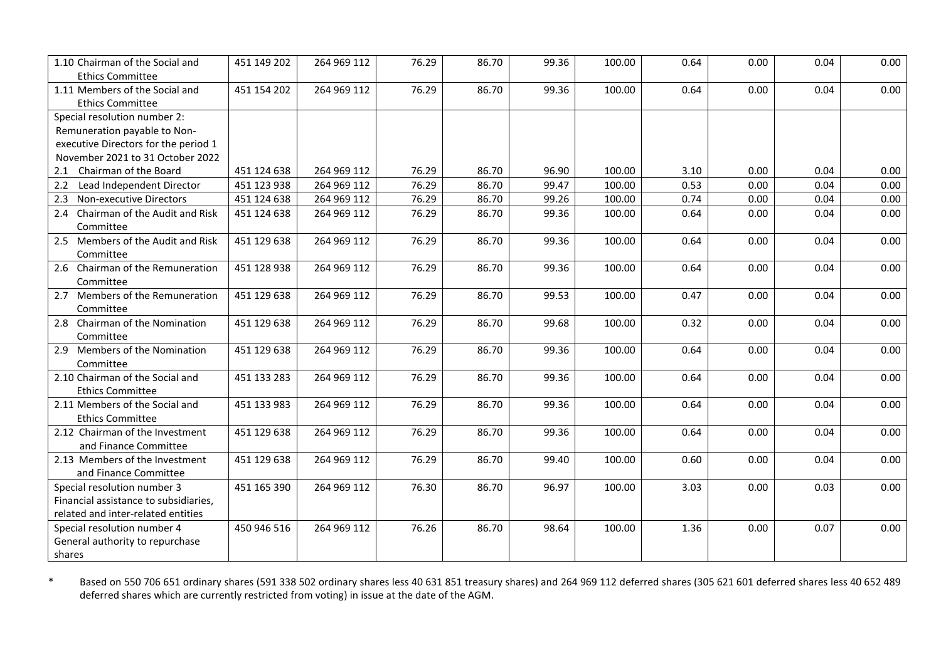| 1.10 Chairman of the Social and<br><b>Ethics Committee</b>           | 451 149 202 | 264 969 112 | 76.29 | 86.70 | 99.36 | 100.00 | 0.64 | 0.00 | 0.04 | 0.00 |
|----------------------------------------------------------------------|-------------|-------------|-------|-------|-------|--------|------|------|------|------|
| 1.11 Members of the Social and                                       | 451 154 202 | 264 969 112 | 76.29 | 86.70 | 99.36 | 100.00 | 0.64 | 0.00 | 0.04 | 0.00 |
| <b>Ethics Committee</b>                                              |             |             |       |       |       |        |      |      |      |      |
| Special resolution number 2:                                         |             |             |       |       |       |        |      |      |      |      |
| Remuneration payable to Non-                                         |             |             |       |       |       |        |      |      |      |      |
| executive Directors for the period 1                                 |             |             |       |       |       |        |      |      |      |      |
| November 2021 to 31 October 2022                                     |             |             |       |       |       |        |      |      |      |      |
| 2.1 Chairman of the Board                                            | 451 124 638 | 264 969 112 | 76.29 | 86.70 | 96.90 | 100.00 | 3.10 | 0.00 | 0.04 | 0.00 |
| Lead Independent Director<br>2.2                                     | 451 123 938 | 264 969 112 | 76.29 | 86.70 | 99.47 | 100.00 | 0.53 | 0.00 | 0.04 | 0.00 |
| 2.3 Non-executive Directors                                          | 451 124 638 | 264 969 112 | 76.29 | 86.70 | 99.26 | 100.00 | 0.74 | 0.00 | 0.04 | 0.00 |
| 2.4 Chairman of the Audit and Risk<br>Committee                      | 451 124 638 | 264 969 112 | 76.29 | 86.70 | 99.36 | 100.00 | 0.64 | 0.00 | 0.04 | 0.00 |
| 2.5 Members of the Audit and Risk<br>Committee                       | 451 129 638 | 264 969 112 | 76.29 | 86.70 | 99.36 | 100.00 | 0.64 | 0.00 | 0.04 | 0.00 |
| 2.6 Chairman of the Remuneration<br>Committee                        | 451 128 938 | 264 969 112 | 76.29 | 86.70 | 99.36 | 100.00 | 0.64 | 0.00 | 0.04 | 0.00 |
| 2.7 Members of the Remuneration<br>Committee                         | 451 129 638 | 264 969 112 | 76.29 | 86.70 | 99.53 | 100.00 | 0.47 | 0.00 | 0.04 | 0.00 |
| 2.8 Chairman of the Nomination<br>Committee                          | 451 129 638 | 264 969 112 | 76.29 | 86.70 | 99.68 | 100.00 | 0.32 | 0.00 | 0.04 | 0.00 |
| 2.9 Members of the Nomination<br>Committee                           | 451 129 638 | 264 969 112 | 76.29 | 86.70 | 99.36 | 100.00 | 0.64 | 0.00 | 0.04 | 0.00 |
| 2.10 Chairman of the Social and<br><b>Ethics Committee</b>           | 451 133 283 | 264 969 112 | 76.29 | 86.70 | 99.36 | 100.00 | 0.64 | 0.00 | 0.04 | 0.00 |
| 2.11 Members of the Social and<br><b>Ethics Committee</b>            | 451 133 983 | 264 969 112 | 76.29 | 86.70 | 99.36 | 100.00 | 0.64 | 0.00 | 0.04 | 0.00 |
| 2.12 Chairman of the Investment<br>and Finance Committee             | 451 129 638 | 264 969 112 | 76.29 | 86.70 | 99.36 | 100.00 | 0.64 | 0.00 | 0.04 | 0.00 |
| 2.13 Members of the Investment<br>and Finance Committee              | 451 129 638 | 264 969 112 | 76.29 | 86.70 | 99.40 | 100.00 | 0.60 | 0.00 | 0.04 | 0.00 |
| Special resolution number 3<br>Financial assistance to subsidiaries, | 451 165 390 | 264 969 112 | 76.30 | 86.70 | 96.97 | 100.00 | 3.03 | 0.00 | 0.03 | 0.00 |
| related and inter-related entities                                   |             |             |       |       |       |        |      |      |      |      |
| Special resolution number 4                                          | 450 946 516 | 264 969 112 | 76.26 | 86.70 | 98.64 | 100.00 | 1.36 | 0.00 | 0.07 | 0.00 |
| General authority to repurchase<br>shares                            |             |             |       |       |       |        |      |      |      |      |

\* Based on 550 706 651 ordinary shares (591 338 502 ordinary shares less 40 631 851 treasury shares) and 264 969 112 deferred shares (305 621 601 deferred shares less 40 652 489 deferred shares which are currently restricted from voting) in issue at the date of the AGM.